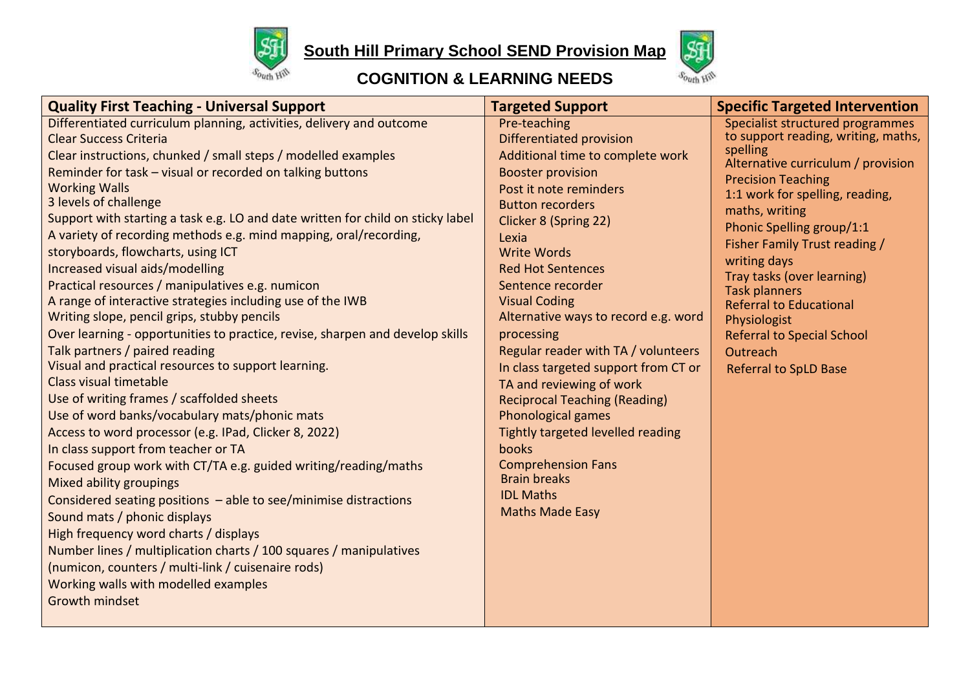

**South Hill Primary School SEND Provision Map** 



## **COGNITION & LEARNING NEEDS**

| <b>Quality First Teaching - Universal Support</b>                               | <b>Targeted Support</b>                                    | <b>Specific Targeted Intervention</b>          |
|---------------------------------------------------------------------------------|------------------------------------------------------------|------------------------------------------------|
| Differentiated curriculum planning, activities, delivery and outcome            | Pre-teaching                                               | Specialist structured programmes               |
| <b>Clear Success Criteria</b>                                                   | Differentiated provision                                   | to support reading, writing, maths,            |
| Clear instructions, chunked / small steps / modelled examples                   | Additional time to complete work                           | spelling<br>Alternative curriculum / provision |
| Reminder for task - visual or recorded on talking buttons                       | <b>Booster provision</b>                                   | <b>Precision Teaching</b>                      |
| <b>Working Walls</b>                                                            | Post it note reminders                                     | 1:1 work for spelling, reading,                |
| 3 levels of challenge                                                           | <b>Button recorders</b>                                    | maths, writing                                 |
| Support with starting a task e.g. LO and date written for child on sticky label | Clicker 8 (Spring 22)                                      | Phonic Spelling group/1:1                      |
| A variety of recording methods e.g. mind mapping, oral/recording,               | Lexia                                                      | <b>Fisher Family Trust reading /</b>           |
| storyboards, flowcharts, using ICT                                              | <b>Write Words</b>                                         | writing days                                   |
| Increased visual aids/modelling                                                 | <b>Red Hot Sentences</b>                                   | Tray tasks (over learning)                     |
| Practical resources / manipulatives e.g. numicon                                | Sentence recorder                                          | <b>Task planners</b>                           |
| A range of interactive strategies including use of the IWB                      | <b>Visual Coding</b>                                       | <b>Referral to Educational</b>                 |
| Writing slope, pencil grips, stubby pencils                                     | Alternative ways to record e.g. word                       | Physiologist                                   |
| Over learning - opportunities to practice, revise, sharpen and develop skills   | processing                                                 | <b>Referral to Special School</b>              |
| Talk partners / paired reading                                                  | Regular reader with TA / volunteers                        | Outreach                                       |
| Visual and practical resources to support learning.<br>Class visual timetable   | In class targeted support from CT or                       | <b>Referral to SpLD Base</b>                   |
| Use of writing frames / scaffolded sheets                                       | TA and reviewing of work                                   |                                                |
| Use of word banks/vocabulary mats/phonic mats                                   | <b>Reciprocal Teaching (Reading)</b><br>Phonological games |                                                |
| Access to word processor (e.g. IPad, Clicker 8, 2022)                           | Tightly targeted levelled reading                          |                                                |
| In class support from teacher or TA                                             | books                                                      |                                                |
| Focused group work with CT/TA e.g. guided writing/reading/maths                 | <b>Comprehension Fans</b>                                  |                                                |
| Mixed ability groupings                                                         | <b>Brain breaks</b>                                        |                                                |
| Considered seating positions $-$ able to see/minimise distractions              | <b>IDL Maths</b>                                           |                                                |
| Sound mats / phonic displays                                                    | <b>Maths Made Easy</b>                                     |                                                |
| High frequency word charts / displays                                           |                                                            |                                                |
| Number lines / multiplication charts / 100 squares / manipulatives              |                                                            |                                                |
| (numicon, counters / multi-link / cuisenaire rods)                              |                                                            |                                                |
| Working walls with modelled examples                                            |                                                            |                                                |
| <b>Growth mindset</b>                                                           |                                                            |                                                |
|                                                                                 |                                                            |                                                |